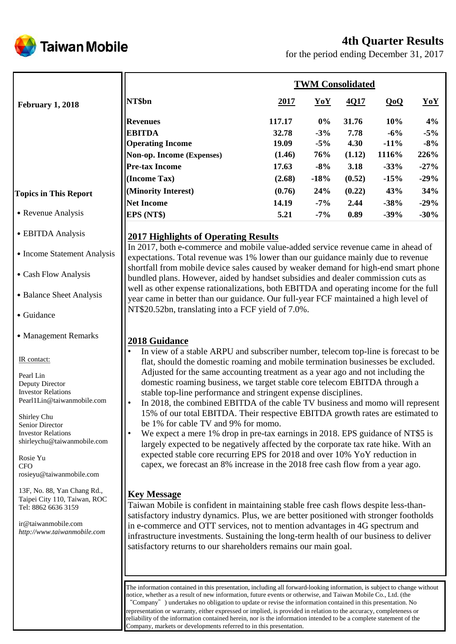

# **4th Quarter Results**

for the period ending December 31, 2017

|                              | <b>TWM Consolidated</b>   |        |        |        |         |        |  |
|------------------------------|---------------------------|--------|--------|--------|---------|--------|--|
| <b>February 1, 2018</b>      | NT\$bn                    | 2017   | YoY    | 4Q17   | QoQ     | YoY    |  |
|                              | <b>Revenues</b>           | 117.17 | $0\%$  | 31.76  | 10%     | 4%     |  |
|                              | <b>EBITDA</b>             | 32.78  | $-3\%$ | 7.78   | $-6\%$  | $-5%$  |  |
|                              | <b>Operating Income</b>   | 19.09  | $-5\%$ | 4.30   | $-11\%$ | $-8%$  |  |
|                              | Non-op. Income (Expenses) | (1.46) | 76%    | (1.12) | 1116%   | 226%   |  |
|                              | <b>Pre-tax Income</b>     | 17.63  | $-8%$  | 3.18   | $-33%$  | $-27%$ |  |
|                              | (Income Tax)              | (2.68) | $-18%$ | (0.52) | $-15%$  | $-29%$ |  |
| <b>Topics in This Report</b> | (Minority Interest)       | (0.76) | 24%    | (0.22) | 43%     | 34%    |  |
|                              | Net Income                | 14.19  | $-7\%$ | 2.44   | $-38%$  | $-29%$ |  |
| • Revenue Analysis           | EPS (NT\$)                | 5.21   | $-7\%$ | 0.89   | $-39%$  | $-30%$ |  |

#### ˙EBITDA Analysis

- Income Statement Analysis
- ˙Cash Flow Analysis
- Balance Sheet Analysis
- ˙Guidance
- Management Remarks

IR contact:

Pearl Lin Deputy Director Investor Relations Pearl1Lin@taiwanmobile.com

Shirley Chu Senior Director Investor Relations shirleychu@taiwanmobile.com

Rosie Yu **CFO** rosieyu@taiwanmobile.com

13F, No. 88, Yan Chang Rd., Taipei City 110, Taiwan, ROC Tel: 8862 6636 3159

ir@taiwanmobile.com *http://www.taiwanmobile.com*

# **2017 Highlights of Operating Results**

In 2017, both e-commerce and mobile value-added service revenue came in ahead of expectations. Total revenue was 1% lower than our guidance mainly due to revenue shortfall from mobile device sales caused by weaker demand for high-end smart phone bundled plans. However, aided by handset subsidies and dealer commission cuts as well as other expense rationalizations, both EBITDA and operating income for the full year came in better than our guidance. Our full-year FCF maintained a high level of NT\$20.52bn, translating into a FCF yield of 7.0%.

# **2018 Guidance**

- In view of a stable ARPU and subscriber number, telecom top-line is forecast to be flat, should the domestic roaming and mobile termination businesses be excluded. Adjusted for the same accounting treatment as a year ago and not including the domestic roaming business, we target stable core telecom EBITDA through a stable top-line performance and stringent expense disciplines.
- In 2018, the combined EBITDA of the cable TV business and momo will represent 15% of our total EBITDA. Their respective EBITDA growth rates are estimated to be 1% for cable TV and 9% for momo.
- We expect a mere 1% drop in pre-tax earnings in 2018. EPS guidance of NT\$5 is largely expected to be negatively affected by the corporate tax rate hike. With an expected stable core recurring EPS for 2018 and over 10% YoY reduction in capex, we forecast an 8% increase in the 2018 free cash flow from a year ago.

# **Key Message**

Taiwan Mobile is confident in maintaining stable free cash flows despite less-thansatisfactory industry dynamics. Plus, we are better positioned with stronger footholds in e-commerce and OTT services, not to mention advantages in 4G spectrum and infrastructure investments. Sustaining the long-term health of our business to deliver satisfactory returns to our shareholders remains our main goal.

The information contained in this presentation, including all forward-looking information, is subject to change without notice, whether as a result of new information, future events or otherwise, and Taiwan Mobile Co., Ltd. (the "Company") undertakes no obligation to update or revise the information contained in this presentation. No representation or warranty, either expressed or implied, is provided in relation to the accuracy, completeness or reliability of the information contained herein, nor is the information intended to be a complete statement of the Company, markets or developments referred to in this presentation.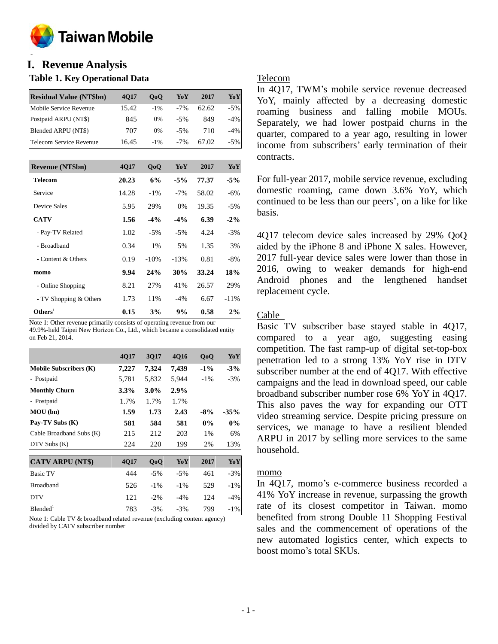

#### **o I. Revenue Analysis**

#### **Table 1. Key Operational Data**

| <b>Residual Value (NT\$bn)</b> | <b>4017</b> | 0 <sub>0</sub> | YoY   | 2017  | YoY    |
|--------------------------------|-------------|----------------|-------|-------|--------|
| Mobile Service Revenue         | 15.42       | $-1\%$         | $-7%$ | 62.62 | $-5%$  |
| Postpaid ARPU (NT\$)           | 845         | 0%             | $-5%$ | 849   | $-4\%$ |
| Blended ARPU (NT\$)            | 707         | 0%             | $-5%$ | 710   | $-4\%$ |
| <b>Telecom Service Revenue</b> | 16.45       | $-1\%$         | $-7%$ | 67.02 | $-5%$  |

| <b>Revenue (NT\$bn)</b> | <b>4017</b> | QoQ    | YoY    | 2017  | YoY    |
|-------------------------|-------------|--------|--------|-------|--------|
| <b>Telecom</b>          | 20.23       | 6%     | $-5\%$ | 77.37 | $-5%$  |
| Service                 | 14.28       | $-1\%$ | $-7\%$ | 58.02 | $-6%$  |
| Device Sales            | 5.95        | 29%    | $0\%$  | 19.35 | $-5%$  |
| <b>CATV</b>             | 1.56        | $-4\%$ | $-4\%$ | 6.39  | $-2\%$ |
| - Pay-TV Related        | 1.02        | $-5%$  | $-5%$  | 4.24  | $-3%$  |
| - Broadband             | 0.34        | 1%     | 5%     | 1.35  | 3%     |
| - Content & Others      | 0.19        | $-10%$ | $-13%$ | 0.81  | $-8\%$ |
| momo                    | 9.94        | 24%    | 30%    | 33.24 | 18%    |
| - Online Shopping       | 8.21        | 27%    | 41%    | 26.57 | 29%    |
| - TV Shopping & Others  | 1.73        | 11%    | $-4%$  | 6.67  | $-11%$ |
| Others <sup>1</sup>     | 0.15        | 3%     | 9%     | 0.58  | 2%     |

Note 1: Other revenue primarily consists of operating revenue from our 49.9%-held Taipei New Horizon Co., Ltd., which became a consolidated entity on Feb 21, 2014.

|                               | 4Q17  | 3Q17    | 4Q16   | QoQ    | YoY    |
|-------------------------------|-------|---------|--------|--------|--------|
| <b>Mobile Subscribers (K)</b> | 7,227 | 7,324   | 7,439  | $-1\%$ | $-3%$  |
| - Postpaid                    | 5,781 | 5,832   | 5,944  | $-1\%$ | $-3\%$ |
| <b>Monthly Churn</b>          | 3.3%  | $3.0\%$ | 2.9%   |        |        |
| - Postpaid                    | 1.7%  | 1.7%    | 1.7%   |        |        |
| MOU (bn)                      | 1.59  | 1.73    | 2.43   | $-8%$  | $-35%$ |
| Pay-TV Subs (K)               | 581   | 584     | 581    | $0\%$  | $0\%$  |
| Cable Broadband Subs (K)      | 215   | 212     | 203    | 1%     | 6%     |
| DTV Subs (K)                  | 224   | 220     | 199    | 2%     | 13%    |
|                               |       |         |        |        |        |
| <b>CATV ARPU (NT\$)</b>       | 4Q17  | QoQ     | YoY    | 2017   | YoY    |
| <b>Basic TV</b>               | 444   | $-5%$   | $-5%$  | 461    | $-3%$  |
| <b>Broadband</b>              | 526   | $-1\%$  | $-1\%$ | 529    | $-1\%$ |
| <b>DTV</b>                    | 121   | $-2\%$  | $-4\%$ | 124    | $-4%$  |
| Blended <sup>1</sup>          | 783   | $-3%$   | $-3%$  | 799    | $-1\%$ |

Note 1: Cable TV & broadband related revenue (excluding content agency) divided by CATV subscriber number

### Telecom

In 4Q17, TWM's mobile service revenue decreased YoY, mainly affected by a decreasing domestic roaming business and falling mobile MOUs. Separately, we had lower postpaid churns in the quarter, compared to a year ago, resulting in lower income from subscribers' early termination of their contracts.

For full-year 2017, mobile service revenue, excluding domestic roaming, came down 3.6% YoY, which continued to be less than our peers', on a like for like basis.

4Q17 telecom device sales increased by 29% QoQ aided by the iPhone 8 and iPhone X sales. However, 2017 full-year device sales were lower than those in 2016, owing to weaker demands for high-end Android phones and the lengthened handset replacement cycle.

### Cable

Basic TV subscriber base stayed stable in 4Q17, compared to a year ago, suggesting easing competition. The fast ramp-up of digital set-top-box penetration led to a strong 13% YoY rise in DTV subscriber number at the end of 4Q17. With effective campaigns and the lead in download speed, our cable broadband subscriber number rose 6% YoY in 4Q17. This also paves the way for expanding our OTT video streaming service. Despite pricing pressure on services, we manage to have a resilient blended ARPU in 2017 by selling more services to the same household.

#### momo

In 4Q17, momo's e-commerce business recorded a 41% YoY increase in revenue, surpassing the growth rate of its closest competitor in Taiwan. momo benefited from strong Double 11 Shopping Festival sales and the commencement of operations of the new automated logistics center, which expects to boost momo's total SKUs.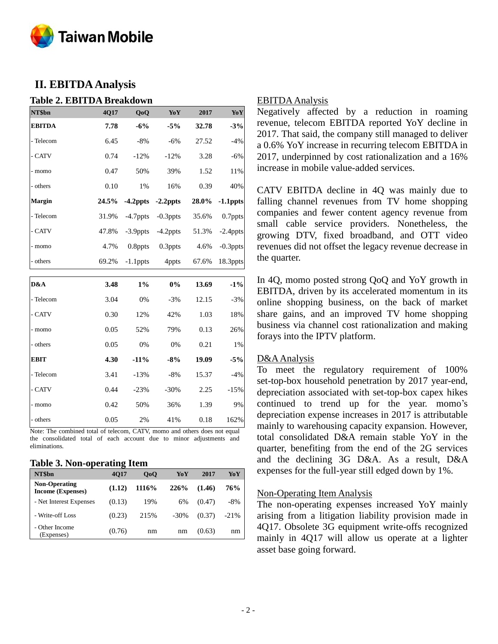

# **II. EBITDA Analysis**

#### **Table 2. EBITDA Breakdown**

| NT\$bn        | 4Q17  | QoQ         | Yo Y        | 2017  | <b>YoY</b>  |
|---------------|-------|-------------|-------------|-------|-------------|
| <b>EBITDA</b> | 7.78  | $-6%$       | $-5%$       | 32.78 | $-3%$       |
| - Telecom     | 6.45  | $-8%$       | $-6%$       | 27.52 | $-4%$       |
| - CATV        | 0.74  | $-12%$      | $-12%$      | 3.28  | $-6%$       |
| - momo        | 0.47  | 50%         | 39%         | 1.52  | 11%         |
| - others      | 0.10  | 1%          | 16%         | 0.39  | 40%         |
| <b>Margin</b> | 24.5% | $-4.2$ ppts | $-2.2$ ppts | 28.0% | $-1.1$ ppts |
| - Telecom     | 31.9% | $-4.7$ ppts | $-0.3$ ppts | 35.6% | 0.7ppts     |
| - CATV        | 47.8% | $-3.9$ ppts | $-4.2$ ppts | 51.3% | $-2.4$ ppts |
| - momo        | 4.7%  | $0.8$ ppts  | $0.3$ ppts  | 4.6%  | $-0.3$ ppts |
| - others      | 69.2% | $-1.1$ ppts | 4ppts       | 67.6% | 18.3ppts    |
|               |       |             |             |       |             |
| D&A           | 3.48  | $1\%$       | 0%          | 13.69 | $-1\%$      |
| - Telecom     | 3.04  | 0%          | $-3%$       | 12.15 | $-3%$       |
| - CATV        | 0.30  | 12%         | 42%         | 1.03  | 18%         |
| - momo        | 0.05  | 52%         | 79%         | 0.13  | 26%         |
| - others      | 0.05  | 0%          | 0%          | 0.21  | 1%          |
| <b>EBIT</b>   | 4.30  | $-11%$      | $-8%$       | 19.09 | $-5%$       |
| - Telecom     | 3.41  | $-13%$      | $-8%$       | 15.37 | $-4%$       |
| - CATV        | 0.44  | $-23%$      | $-30%$      | 2.25  | $-15%$      |
| - momo        | 0.42  | 50%         | 36%         | 1.39  | 9%          |
| - others      | 0.05  | 2%          | 41%         | 0.18  | 162%        |

Note: The combined total of telecom, CATV, momo and others does not equal the consolidated total of each account due to minor adjustments and eliminations.

#### **Table 3. Non-operating Item**

| NT\$bn                                           | -<br><b>4017</b> | 0 <sub>0</sub> | YoY     | 2017   | YoY    |
|--------------------------------------------------|------------------|----------------|---------|--------|--------|
| <b>Non-Operating</b><br><b>Income (Expenses)</b> | (1.12)           | 1116\%         | 226%    | (1.46) | 76%    |
| - Net Interest Expenses                          | (0.13)           | 19%            | 6%      | (0.47) | -8%    |
| - Write-off Loss                                 | (0.23)           | 215%           | $-30\%$ | (0.37) | $-21%$ |
| - Other Income<br>(Expenses)                     | (0.76)           | nm             | nm      | (0.63) | nm     |

## EBITDA Analysis

Negatively affected by a reduction in roaming revenue, telecom EBITDA reported YoY decline in 2017. That said, the company still managed to deliver a 0.6% YoY increase in recurring telecom EBITDA in 2017, underpinned by cost rationalization and a 16% increase in mobile value-added services.

CATV EBITDA decline in 4Q was mainly due to falling channel revenues from TV home shopping companies and fewer content agency revenue from small cable service providers. Nonetheless, the growing DTV, fixed broadband, and OTT video revenues did not offset the legacy revenue decrease in the quarter.

In 4Q, momo posted strong QoQ and YoY growth in EBITDA, driven by its accelerated momentum in its online shopping business, on the back of market share gains, and an improved TV home shopping business via channel cost rationalization and making forays into the IPTV platform.

#### D&A Analysis

To meet the regulatory requirement of 100% set-top-box household penetration by 2017 year-end, depreciation associated with set-top-box capex hikes continued to trend up for the year. momo's depreciation expense increases in 2017 is attributable mainly to warehousing capacity expansion. However, total consolidated D&A remain stable YoY in the quarter, benefiting from the end of the 2G services and the declining 3G D&A. As a result, D&A expenses for the full-year still edged down by 1%.

#### Non-Operating Item Analysis

The non-operating expenses increased YoY mainly arising from a litigation liability provision made in 4Q17. Obsolete 3G equipment write-offs recognized mainly in 4Q17 will allow us operate at a lighter asset base going forward.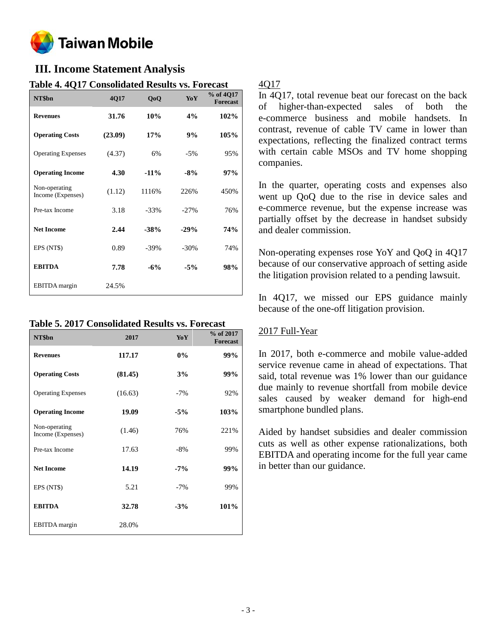

# **III. Income Statement Analysis**

| IAVIL 7. TYIT                      | Consonuateu results vs. I oreeast |        |         |                              |
|------------------------------------|-----------------------------------|--------|---------|------------------------------|
| NT\$bn                             | 4Q17                              | QoQ    | YoY     | % of 4Q17<br><b>Forecast</b> |
| <b>Revenues</b>                    | 31.76                             | 10%    | 4%      | 102%                         |
| <b>Operating Costs</b>             | (23.09)                           | 17%    | 9%      | 105%                         |
| <b>Operating Expenses</b>          | (4.37)                            | 6%     | $-5%$   | 95%                          |
| <b>Operating Income</b>            | 4.30                              | $-11%$ | $-8%$   | 97%                          |
| Non-operating<br>Income (Expenses) | (1.12)                            | 1116%  | 226%    | 450%                         |
| Pre-tax Income                     | 3.18                              | $-33%$ | $-27%$  | 76%                          |
| <b>Net Income</b>                  | 2.44                              | $-38%$ | $-29%$  | 74%                          |
| EPS (NT\$)                         | 0.89                              | $-39%$ | $-30\%$ | 74%                          |
| <b>EBITDA</b>                      | 7.78                              | $-6%$  | $-5%$   | 98%                          |
| EBITDA margin                      | 24.5%                             |        |         |                              |

# **Table 4. 4Q17 Consolidated Results vs. Forecast**

## **Table 5. 2017 Consolidated Results vs. Forecast**

| NT\$bn                             | 2017    | YoY   | % of 2017<br><b>Forecast</b> |
|------------------------------------|---------|-------|------------------------------|
| <b>Revenues</b>                    | 117.17  | $0\%$ | 99%                          |
| <b>Operating Costs</b>             | (81.45) | 3%    | 99%                          |
| <b>Operating Expenses</b>          | (16.63) | $-7%$ | 92%                          |
| <b>Operating Income</b>            | 19.09   | $-5%$ | 103%                         |
| Non-operating<br>Income (Expenses) | (1.46)  | 76%   | 221%                         |
| Pre-tax Income                     | 17.63   | $-8%$ | 99%                          |
| <b>Net Income</b>                  | 14.19   | $-7%$ | 99%                          |
| EPS (NT\$)                         | 5.21    | $-7%$ | 99%                          |
| <b>EBITDA</b>                      | 32.78   | $-3%$ | 101%                         |
| EBITDA margin                      | 28.0%   |       |                              |

## 4Q17

In 4Q17, total revenue beat our forecast on the back of higher-than-expected sales of both the e-commerce business and mobile handsets. In contrast, revenue of cable TV came in lower than expectations, reflecting the finalized contract terms with certain cable MSOs and TV home shopping companies.

In the quarter, operating costs and expenses also went up QoQ due to the rise in device sales and e-commerce revenue, but the expense increase was partially offset by the decrease in handset subsidy and dealer commission.

Non-operating expenses rose YoY and QoQ in 4Q17 because of our conservative approach of setting aside the litigation provision related to a pending lawsuit.

In 4Q17, we missed our EPS guidance mainly because of the one-off litigation provision.

## 2017 Full-Year

In 2017, both e-commerce and mobile value-added service revenue came in ahead of expectations. That said, total revenue was 1% lower than our guidance due mainly to revenue shortfall from mobile device sales caused by weaker demand for high-end smartphone bundled plans.

Aided by handset subsidies and dealer commission cuts as well as other expense rationalizations, both EBITDA and operating income for the full year came in better than our guidance.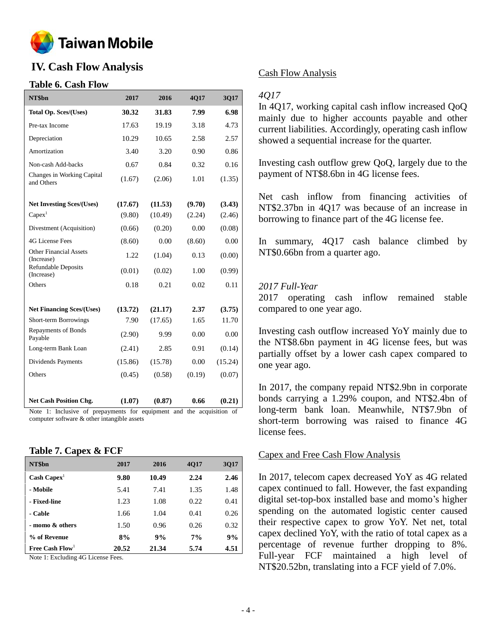

# **IV. Cash Flow Analysis**

#### **Table 6. Cash Flow**

| NT\$bn                                      | 2017    | 2016    | 4Q17   | 3Q17    |
|---------------------------------------------|---------|---------|--------|---------|
| <b>Total Op. Sces/(Uses)</b>                | 30.32   | 31.83   | 7.99   | 6.98    |
| Pre-tax Income                              | 17.63   | 19.19   | 3.18   | 4.73    |
| Depreciation                                | 10.29   | 10.65   | 2.58   | 2.57    |
| Amortization                                | 3.40    | 3.20    | 0.90   | 0.86    |
| Non-cash Add-backs                          | 0.67    | 0.84    | 0.32   | 0.16    |
| Changes in Working Capital<br>and Others    | (1.67)  | (2.06)  | 1.01   | (1.35)  |
| <b>Net Investing Sces/(Uses)</b>            | (17.67) | (11.53) | (9.70) | (3.43)  |
| Capex <sup>1</sup>                          | (9.80)  | (10.49) | (2.24) | (2.46)  |
| Divestment (Acquisition)                    | (0.66)  | (0.20)  | 0.00   | (0.08)  |
| <b>4G License Fees</b>                      | (8.60)  | 0.00    | (8.60) | 0.00    |
| <b>Other Financial Assets</b><br>(Increase) | 1.22    | (1.04)  | 0.13   | (0.00)  |
| <b>Refundable Deposits</b><br>(Increase)    | (0.01)  | (0.02)  | 1.00   | (0.99)  |
| Others                                      | 0.18    | 0.21    | 0.02   | 0.11    |
| <b>Net Financing Sces/(Uses)</b>            | (13.72) | (21.17) | 2.37   | (3.75)  |
| Short-term Borrowings                       | 7.90    | (17.65) | 1.65   | 11.70   |
| Repayments of Bonds<br>Payable              | (2.90)  | 9.99    | 0.00   | 0.00    |
| Long-term Bank Loan                         | (2.41)  | 2.85    | 0.91   | (0.14)  |
| Dividends Payments                          | (15.86) | (15.78) | 0.00   | (15.24) |
| Others                                      | (0.45)  | (0.58)  | (0.19) | (0.07)  |
| <b>Net Cash Position Chg.</b>               | (1.07)  | (0.87)  | 0.66   | (0.21)  |

Note 1: Inclusive of prepayments for equipment and the acquisition of computer software & other intangible assets

#### **Table 7. Capex & FCF**

| NT\$bn                        | 2017  | 2016  | <b>4017</b> | 3017 |
|-------------------------------|-------|-------|-------------|------|
| $\text{Cash} \text{ Capex}^1$ | 9.80  | 10.49 | 2.24        | 2.46 |
| - Mobile                      | 5.41  | 7.41  | 1.35        | 1.48 |
| - Fixed-line                  | 1.23  | 1.08  | 0.22        | 0.41 |
| - Cable                       | 1.66  | 1.04  | 0.41        | 0.26 |
| - momo & others               | 1.50  | 0.96  | 0.26        | 0.32 |
| % of Revenue                  | 8%    | 9%    | 7%          | 9%   |
| Free Cash $Flow1$             | 20.52 | 21.34 | 5.74        | 4.51 |

Note 1: Excluding 4G License Fees.

#### Cash Flow Analysis

#### *4Q17*

In 4Q17, working capital cash inflow increased QoQ mainly due to higher accounts payable and other current liabilities. Accordingly, operating cash inflow showed a sequential increase for the quarter.

Investing cash outflow grew QoQ, largely due to the payment of NT\$8.6bn in 4G license fees.

Net cash inflow from financing activities of NT\$2.37bn in 4Q17 was because of an increase in borrowing to finance part of the 4G license fee.

In summary, 4Q17 cash balance climbed by NT\$0.66bn from a quarter ago.

#### *2017 Full-Year*

2017 operating cash inflow remained stable compared to one year ago.

Investing cash outflow increased YoY mainly due to the NT\$8.6bn payment in 4G license fees, but was partially offset by a lower cash capex compared to one year ago.

In 2017, the company repaid NT\$2.9bn in corporate bonds carrying a 1.29% coupon, and NT\$2.4bn of long-term bank loan. Meanwhile, NT\$7.9bn of short-term borrowing was raised to finance 4G license fees.

#### Capex and Free Cash Flow Analysis

In 2017, telecom capex decreased YoY as 4G related capex continued to fall. However, the fast expanding digital set-top-box installed base and momo's higher spending on the automated logistic center caused their respective capex to grow YoY. Net net, total capex declined YoY, with the ratio of total capex as a percentage of revenue further dropping to 8%. Full-year FCF maintained a high level of NT\$20.52bn, translating into a FCF yield of 7.0%.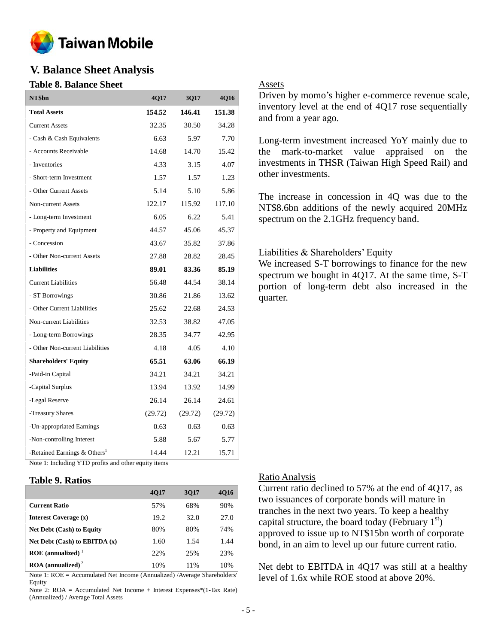

# **V. Balance Sheet Analysis**

#### **Table 8. Balance Sheet**

| NT\$bn                                     | 4Q17    | 3Q17    | 4Q16    |
|--------------------------------------------|---------|---------|---------|
| <b>Total Assets</b>                        | 154.52  | 146.41  | 151.38  |
| <b>Current Assets</b>                      | 32.35   | 30.50   | 34.28   |
| - Cash & Cash Equivalents                  | 6.63    | 5.97    | 7.70    |
| - Accounts Receivable                      | 14.68   | 14.70   | 15.42   |
| - Inventories                              | 4.33    | 3.15    | 4.07    |
| - Short-term Investment                    | 1.57    | 1.57    | 1.23    |
| - Other Current Assets                     | 5.14    | 5.10    | 5.86    |
| Non-current Assets                         | 122.17  | 115.92  | 117.10  |
| - Long-term Investment                     | 6.05    | 6.22    | 5.41    |
| - Property and Equipment                   | 44.57   | 45.06   | 45.37   |
| - Concession                               | 43.67   | 35.82   | 37.86   |
| - Other Non-current Assets                 | 27.88   | 28.82   | 28.45   |
| <b>Liabilities</b>                         | 89.01   | 83.36   | 85.19   |
| <b>Current Liabilities</b>                 | 56.48   | 44.54   | 38.14   |
| - ST Borrowings                            | 30.86   | 21.86   | 13.62   |
| - Other Current Liabilities                | 25.62   | 22.68   | 24.53   |
| Non-current Liabilities                    | 32.53   | 38.82   | 47.05   |
| - Long-term Borrowings                     | 28.35   | 34.77   | 42.95   |
| - Other Non-current Liabilities            | 4.18    | 4.05    | 4.10    |
| <b>Shareholders' Equity</b>                | 65.51   | 63.06   | 66.19   |
| -Paid-in Capital                           | 34.21   | 34.21   | 34.21   |
| -Capital Surplus                           | 13.94   | 13.92   | 14.99   |
| -Legal Reserve                             | 26.14   | 26.14   | 24.61   |
| -Treasury Shares                           | (29.72) | (29.72) | (29.72) |
| -Un-appropriated Earnings                  | 0.63    | 0.63    | 0.63    |
| -Non-controlling Interest                  | 5.88    | 5.67    | 5.77    |
| -Retained Earnings $&$ Others <sup>1</sup> | 14.44   | 12.21   | 15.71   |

## Assets

Driven by momo's higher e-commerce revenue scale, inventory level at the end of 4Q17 rose sequentially and from a year ago.

Long-term investment increased YoY mainly due to the mark-to-market value appraised on the investments in THSR (Taiwan High Speed Rail) and other investments.

The increase in concession in 4Q was due to the NT\$8.6bn additions of the newly acquired 20MHz spectrum on the 2.1GHz frequency band.

#### Liabilities & Shareholders' Equity

We increased S-T borrowings to finance for the new spectrum we bought in 4Q17. At the same time, S-T portion of long-term debt also increased in the quarter.

Note 1: Including YTD profits and other equity items

#### **Table 9. Ratios**

|                                        | <b>4017</b> | 3017 | <b>4016</b> |
|----------------------------------------|-------------|------|-------------|
| <b>Current Ratio</b>                   | 57%         | 68%  | 90%         |
| Interest Coverage (x)                  | 19.2        | 32.0 | 27.0        |
| <b>Net Debt (Cash) to Equity</b>       | 80%         | 80%  | 74%         |
| Net Debt (Cash) to EBITDA (x)          | 1.60        | 1.54 | 1.44        |
| ROE (annualized) $1$                   | 22%         | 25%  | 23%         |
| $\text{ROA}$ (annualized) <sup>2</sup> | 10%         | 11%  | 10%         |

Note 1: ROE = Accumulated Net Income (Annualized) /Average Shareholders' Equity

Note 2: ROA = Accumulated Net Income + Interest Expenses\*(1-Tax Rate) (Annualized) / Average Total Assets

#### Ratio Analysis

Current ratio declined to 57% at the end of 4Q17, as two issuances of corporate bonds will mature in tranches in the next two years. To keep a healthy capital structure, the board today (February  $1<sup>st</sup>$ ) approved to issue up to NT\$15bn worth of corporate bond, in an aim to level up our future current ratio.

Net debt to EBITDA in 4Q17 was still at a healthy level of 1.6x while ROE stood at above 20%.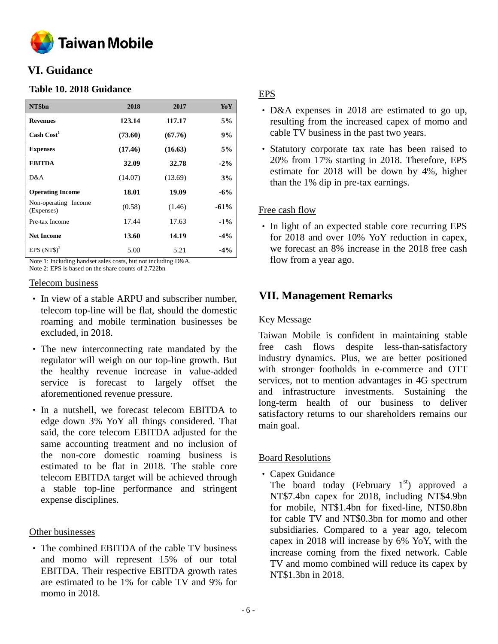

# **VI. Guidance**

## **Table 10. 2018 Guidance**

| NT\$bn                             | 2018    | 2017    | YoY    |
|------------------------------------|---------|---------|--------|
| <b>Revenues</b>                    | 123.14  | 117.17  | 5%     |
| Cash Cost <sup>1</sup>             | (73.60) | (67.76) | 9%     |
| <b>Expenses</b>                    | (17.46) | (16.63) | 5%     |
| <b>EBITDA</b>                      | 32.09   | 32.78   | $-2\%$ |
| D&A                                | (14.07) | (13.69) | 3%     |
| <b>Operating Income</b>            | 18.01   | 19.09   | $-6\%$ |
| Non-operating Income<br>(Expenses) | (0.58)  | (1.46)  | $-61%$ |
| Pre-tax Income                     | 17.44   | 17.63   | $-1\%$ |
| <b>Net Income</b>                  | 13.60   | 14.19   | $-4\%$ |
| EPS $(NT$)^2$                      | 5.00    | 5.21    | $-4\%$ |

Note 1: Including handset sales costs, but not including D&A. Note 2: EPS is based on the share counts of 2.722bn

#### Telecom business

- In view of a stable ARPU and subscriber number, telecom top-line will be flat, should the domestic roaming and mobile termination businesses be excluded, in 2018.
- The new interconnecting rate mandated by the regulator will weigh on our top-line growth. But the healthy revenue increase in value-added service is forecast to largely offset the aforementioned revenue pressure.
- In a nutshell, we forecast telecom EBITDA to edge down 3% YoY all things considered. That said, the core telecom EBITDA adjusted for the same accounting treatment and no inclusion of the non-core domestic roaming business is estimated to be flat in 2018. The stable core telecom EBITDA target will be achieved through a stable top-line performance and stringent expense disciplines.

## Other businesses

• The combined EBITDA of the cable TV business and momo will represent 15% of our total EBITDA. Their respective EBITDA growth rates are estimated to be 1% for cable TV and 9% for momo in 2018.

# EPS

- D&A expenses in 2018 are estimated to go up, resulting from the increased capex of momo and cable TV business in the past two years.
- Statutory corporate tax rate has been raised to 20% from 17% starting in 2018. Therefore, EPS estimate for 2018 will be down by 4%, higher than the 1% dip in pre-tax earnings.

## Free cash flow

• In light of an expected stable core recurring EPS for 2018 and over 10% YoY reduction in capex, we forecast an 8% increase in the 2018 free cash flow from a year ago.

# **VII. Management Remarks**

## Key Message

Taiwan Mobile is confident in maintaining stable free cash flows despite less-than-satisfactory industry dynamics. Plus, we are better positioned with stronger footholds in e-commerce and OTT services, not to mention advantages in 4G spectrum and infrastructure investments. Sustaining the long-term health of our business to deliver satisfactory returns to our shareholders remains our main goal.

## Board Resolutions

• Capex Guidance

The board today (February  $1<sup>st</sup>$ ) approved a NT\$7.4bn capex for 2018, including NT\$4.9bn for mobile, NT\$1.4bn for fixed-line, NT\$0.8bn for cable TV and NT\$0.3bn for momo and other subsidiaries. Compared to a year ago, telecom capex in 2018 will increase by 6% YoY, with the increase coming from the fixed network. Cable TV and momo combined will reduce its capex by NT\$1.3bn in 2018.